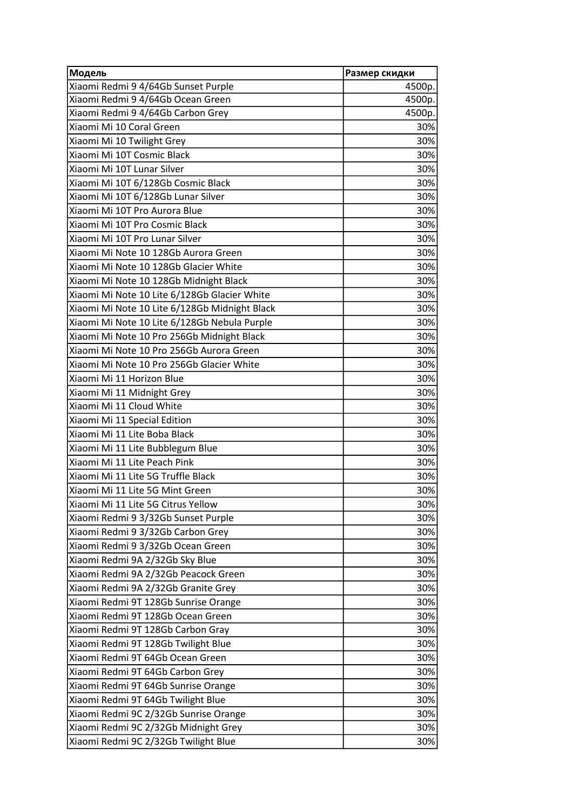| Модель                                        | Размер скидки |
|-----------------------------------------------|---------------|
| Xiaomi Redmi 9 4/64Gb Sunset Purple           | 4500p.        |
| Xiaomi Redmi 9 4/64Gb Ocean Green             | 4500p.        |
| Xiaomi Redmi 9 4/64Gb Carbon Grey             | 4500p.        |
| Xiaomi Mi 10 Coral Green                      | 30%           |
| Xiaomi Mi 10 Twilight Grey                    | 30%           |
| Xiaomi Mi 10T Cosmic Black                    | 30%           |
| Xiaomi Mi 10T Lunar Silver                    | 30%           |
| Xiaomi Mi 10T 6/128Gb Cosmic Black            | 30%           |
| Xiaomi Mi 10T 6/128Gb Lunar Silver            | 30%           |
| Xiaomi Mi 10T Pro Aurora Blue                 | 30%           |
| Xiaomi Mi 10T Pro Cosmic Black                | 30%           |
| Xiaomi Mi 10T Pro Lunar Silver                | 30%           |
| Xiaomi Mi Note 10 128Gb Aurora Green          | 30%           |
| Xiaomi Mi Note 10 128Gb Glacier White         | 30%           |
| Xiaomi Mi Note 10 128Gb Midnight Black        | 30%           |
| Xiaomi Mi Note 10 Lite 6/128Gb Glacier White  | 30%           |
| Xiaomi Mi Note 10 Lite 6/128Gb Midnight Black | 30%           |
| Xiaomi Mi Note 10 Lite 6/128Gb Nebula Purple  | 30%           |
| Xiaomi Mi Note 10 Pro 256Gb Midnight Black    | 30%           |
| Xiaomi Mi Note 10 Pro 256Gb Aurora Green      | 30%           |
| Xiaomi Mi Note 10 Pro 256Gb Glacier White     | 30%           |
| Xiaomi Mi 11 Horizon Blue                     | 30%           |
| Xiaomi Mi 11 Midnight Grey                    | 30%           |
| Xiaomi Mi 11 Cloud White                      | 30%           |
| Xiaomi Mi 11 Special Edition                  | 30%           |
| Xiaomi Mi 11 Lite Boba Black                  | 30%           |
| Xiaomi Mi 11 Lite Bubblegum Blue              | 30%           |
| Xiaomi Mi 11 Lite Peach Pink                  | 30%           |
| Xiaomi Mi 11 Lite 5G Truffle Black            | 30%           |
| Xiaomi Mi 11 Lite 5G Mint Green               | 30%           |
| Xiaomi Mi 11 Lite 5G Citrus Yellow            | 30%           |
| Xiaomi Redmi 9 3/32Gb Sunset Purple           | 30%           |
| Xiaomi Redmi 9 3/32Gb Carbon Grey             | 30%           |
| Xiaomi Redmi 9 3/32Gb Ocean Green             | 30%           |
| Xiaomi Redmi 9A 2/32Gb Sky Blue               | 30%           |
| Xiaomi Redmi 9A 2/32Gb Peacock Green          | 30%           |
| Xiaomi Redmi 9A 2/32Gb Granite Grey           | 30%           |
| Xiaomi Redmi 9T 128Gb Sunrise Orange          | 30%           |
| Xiaomi Redmi 9T 128Gb Ocean Green             | 30%           |
| Xiaomi Redmi 9T 128Gb Carbon Gray             | 30%           |
| Xiaomi Redmi 9T 128Gb Twilight Blue           | 30%           |
| Xiaomi Redmi 9T 64Gb Ocean Green              | 30%           |
| Xiaomi Redmi 9T 64Gb Carbon Grey              | 30%           |
| Xiaomi Redmi 9T 64Gb Sunrise Orange           | 30%           |
| Xiaomi Redmi 9T 64Gb Twilight Blue            | 30%           |
| Xiaomi Redmi 9C 2/32Gb Sunrise Orange         | 30%           |
| Xiaomi Redmi 9C 2/32Gb Midnight Grey          | 30%           |
| Xiaomi Redmi 9C 2/32Gb Twilight Blue          | 30%           |